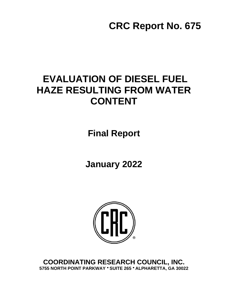# **CRC Report No. 675**

## **EVALUATION OF DIESEL FUEL HAZE RESULTING FROM WATER CONTENT**

**Final Report**

**January 2022**



**COORDINATING RESEARCH COUNCIL, INC. 5755 NORTH POINT PARKWAY ● SUITE 265 ● ALPHARETTA, GA 30022**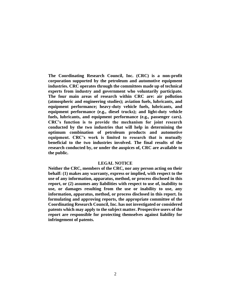**The Coordinating Research Council, Inc. (CRC) is a non-profit corporation supported by the petroleum and automotive equipment industries. CRC operates through the committees made up of technical experts from industry and government who voluntarily participate. The four main areas of research within CRC are: air pollution (atmospheric and engineering studies); aviation fuels, lubricants, and equipment performance; heavy-duty vehicle fuels, lubricants, and equipment performance (e.g., diesel trucks); and light-duty vehicle fuels, lubricants, and equipment performance (e.g., passenger cars). CRC's function is to provide the mechanism for joint research conducted by the two industries that will help in determining the optimum combination of petroleum products and automotive equipment. CRC's work is limited to research that is mutually beneficial to the two industries involved. The final results of the research conducted by, or under the auspices of, CRC are available to the public.**

#### **LEGAL NOTICE**

**Neither the CRC, members of the CRC, nor any person acting on their behalf: (1) makes any warranty, express or implied, with respect to the use of any information, apparatus, method, or process disclosed in this report, or (2) assumes any liabilities with respect to use of, inability to use, or damages resulting from the use or inability to use, any information, apparatus, method, or process disclosed in this report. In formulating and approving reports, the appropriate committee of the Coordinating Research Council, Inc. has not investigated or considered patents which may apply to the subject matter. Prospective users of the report are responsible for protecting themselves against liability for infringement of patents.**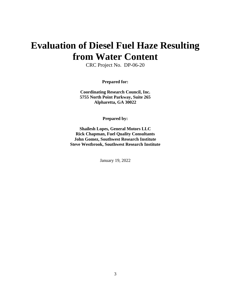## **Evaluation of Diesel Fuel Haze Resulting from Water Content**

CRC Project No. DP-06-20

**Prepared for:** 

**Coordinating Research Council, Inc. 5755 North Point Parkway, Suite 265 Alpharetta, GA 30022**

**Prepared by:** 

**Shailesh Lopes, General Motors LLC Rick Chapman, Fuel Quality Consultants John Gomez, Southwest Research Institute Steve Westbrook, Southwest Research Institute** 

January 19, 2022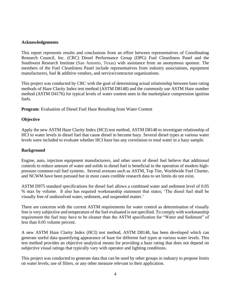#### **Acknowledgements**

This report represents results and conclusions from an effort between representatives of Coordinating Research Council, Inc. (CRC) Diesel Performance Group (DPG) Fuel Cleanliness Panel and the Southwest Research Institute (San Antonio, Texas) with assistance from an anonymous sponsor. The members of the Fuel Cleanliness Panel include representatives from industry associations, equipment manufacturers, fuel & additive vendors, and service/contractor organizations.

This project was conducted by CRC with the goal of determining actual relationship between haze rating methods of Haze Clarity Index test method (ASTM D8148) and the commonly use ASTM Haze number method (ASTM D4176) for typical levels of water content seen in the marketplace compression ignition fuels.

**Program**: Evaluation of Diesel Fuel Haze Resulting from Water Content

### **Objective**

Apply the new ASTM Haze Clarity Index (HCI) test method, ASTM D8148 to investigate relationship of HCI to water levels in diesel fuel that cause diesel to become hazy. Several diesel types at various water levels were included to evaluate whether HCI haze has any correlation to total water in a hazy sample.

#### **Background**

Engine, auto, injection equipment manufacturers, and other users of diesel fuel believe that additional controls to reduce amount of water and solids in diesel fuel is beneficial to the operation of modern highpressure common-rail fuel systems. Several avenues such as ASTM, Top Tier, Worldwide Fuel Charter, and NCWM have been pursued but in most cases credible research data to set limits do not exist.

ASTM D975 standard specifications for diesel fuel allows a combined water and sediment level of 0.05 % max by volume. It also has required workmanship statement that states; 'The diesel fuel shall be visually free of undissolved water, sediment, and suspended matter.'

There are concerns with the current ASTM requirements for water control as determination of visually free is very subjective and temperature of the fuel evaluated is not specified. To comply with workmanship requirement the fuel may have to be cleaner than the ASTM specification for "Water and Sediment" of less than 0.05 volume percent.

A new ASTM Haze Clarity Index (HCI) test method, ASTM D8148, has been developed which can generate useful data quantifying appearance of haze for different fuel types at various water levels. This test method provides an objective analytical means for providing a haze rating that does not depend on subjective visual ratings that typically vary with operator and lighting conditions.

This project was conducted to generate data that can be used by other groups in industry to propose limits on water levels, use of filters, or any other measure relevant to their application.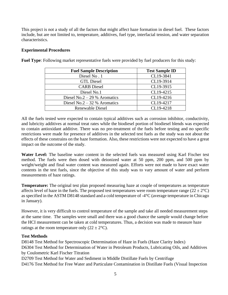This project is not a study of all the factors that might affect haze formation in diesel fuel. These factors include, but are not limited to, temperature, additives, fuel type, interfacial tension, and water separation characteristics.

## **Experimental Procedures**

| <b>Fuel Sample Description</b> | <b>Test Sample ID</b> |
|--------------------------------|-----------------------|
| Diesel No. 1                   | CL19-3841             |
| <b>GTL Diesel</b>              | CL19-3914             |
| <b>CARB</b> Diesel             | CL19-3915             |
| Diesel No.1                    | CL19-4215             |
| Diesel No.2 – 29 % Aromatics   | CL19-4216             |
| Diesel No.2 – 32 % Aromatics   | CL19-4217             |
| <b>Renewable Diesel</b>        | CL19-4218             |

**Fuel Type**: Following market representative fuels were provided by fuel producers for this study:

All the fuels tested were expected to contain typical additives such as corrosion inhibitor, conductivity, and lubricity additives at normal treat rates while the biodiesel portion of biodiesel blends was expected to contain antioxidant additive. There was no pre-treatment of the fuels before testing and no specific restrictions were made for presence of additives in the selected test fuels as the study was not about the effects of these constrains on the haze formation. Also, these restrictions were not expected to have a great impact on the outcome of the study.

**Water Level:** The baseline water content in the selected fuels was measured using Karl Fischer test method. The fuels were then dosed with deionized water at 50 ppm, 200 ppm, and 500 ppm by weight/weight and final water content was measured again. Efforts were not made to have exact water contents in the test fuels, since the objective of this study was to vary amount of water and perform measurements of haze ratings.

**Temperature:** The original test plan proposed measuring haze at couple of temperatures as temperature affects level of haze in the fuels. The proposed test temperatures were room temperature range ( $22 \pm 2^{\circ}$ C) as specified in the ASTM D8148 standard and a cold temperature of -4°C (average temperature in Chicago in January).

However, it is very difficult to control temperature of the sample and take all needed measurement steps at the same time. The samples were small and there was a good chance the sample would change before the HCI measurement can be taken at cold temperatures. Thus, a decision was made to measure haze ratings at the room temperature only  $(22 \pm 2^{\circ}C)$ .

## **Test Methods**

D8148 Test Method for Spectroscopic Determination of Haze in Fuels (Haze Clarity Index) D6304 Test Method for Determination of Water in Petroleum Products, Lubricating Oils, and Additives by Coulometric Karl Fischer Titration D2709 Test Method for Water and Sediment in Middle Distillate Fuels by Centrifuge

D4176 Test Method for Free Water and Particulate Contamination in Distillate Fuels (Visual Inspection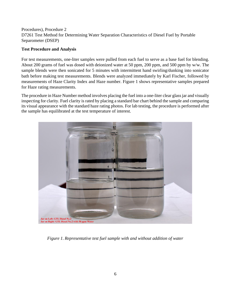## Procedures), Procedure 2 D7261 Test Method for Determining Water Separation Characteristics of Diesel Fuel by Portable Separometer (DSEP)

## **Test Procedure and Analysis**

For test measurements, one-liter samples were pulled from each fuel to serve as a base fuel for blending. About 200 grams of fuel was dosed with deionized water at 50 ppm, 200 ppm, and 500 ppm by w/w. The sample blends were then sonicated for 5 minutes with intermittent hand swirling/dunking into sonicator bath before making test measurements. Blends were analyzed immediately by Karl Fischer, followed by measurements of Haze Clarity Index and Haze number. [Figure 1](#page-5-0) shows representative samples prepared for Haze rating measurements.

The procedure in Haze Number method involves placing the fuel into a one-liter clear glass jar and visually inspecting for clarity. Fuel clarity is rated by placing a standard bar chart behind the sample and comparing its visual appearance with the standard haze rating photos. For lab testing, the procedure is performed after the sample has equilibrated at the test temperature of interest.

<span id="page-5-0"></span>

*Figure 1. Representative test fuel sample with and without addition of water*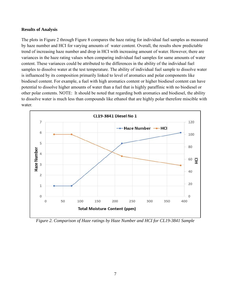#### **Results of Analysis**

The plots in [Figure 2](#page-6-0) through [Figure 8](#page-9-0) compares the haze rating for individual fuel samples as measured by haze number and HCI for varying amounts of water content. Overall, the results show predictable trend of increasing haze number and drop in HCI with increasing amount of water. However, there are variances in the haze rating values when comparing individual fuel samples for same amounts of water content. These variances could be attributed to the differences in the ability of the individual fuel samples to dissolve water at the test temperature. The ability of individual fuel sample to dissolve water is influenced by its composition primarily linked to level of aromatics and polar components like biodiesel content. For example, a fuel with high aromatics content or higher biodiesel content can have potential to dissolve higher amounts of water than a fuel that is highly paraffinic with no biodiesel or other polar contents. NOTE: It should be noted that regarding both aromatics and biodiesel, the ability to dissolve water is much less than compounds like ethanol that are highly polar therefore miscible with water.



<span id="page-6-0"></span>*Figure 2. Comparison of Haze ratings by Haze Number and HCI for CL19-3841 Sample*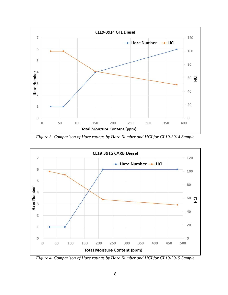

*Figure 3. Comparison of Haze ratings by Haze Number and HCI for CL19-3914 Sample*



*Figure 4. Comparison of Haze ratings by Haze Number and HCI for CL19-3915 Sample*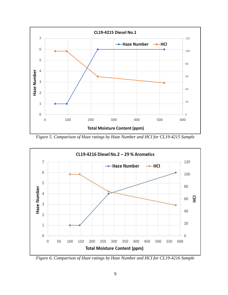

*Figure 5. Comparison of Haze ratings by Haze Number and HCI for CL19-4215 Sample*



*Figure 6. Comparison of Haze ratings by Haze Number and HCI for CL19-4216 Sample*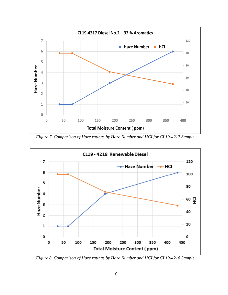

*Figure 7. Comparison of Haze ratings by Haze Number and HCI for CL19-4217 Sample*



<span id="page-9-0"></span>*Figure 8. Comparison of Haze ratings by Haze Number and HCI for CL19-4218 Sample*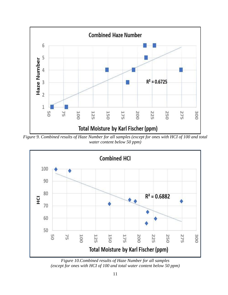

<span id="page-10-0"></span>*Figure 9. Combined results of Haze Number for all samples (except for ones with HCI of 100 and total water content below 50 ppm)*



<span id="page-10-1"></span>*Figure 10.Combined results of Haze Number for all samples (except for ones with HCI of 100 and total water content below 50 ppm)*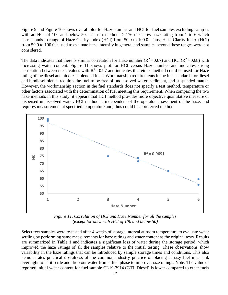[Figure 9](#page-10-0) and [Figure 10](#page-10-1) shows overall plot for Haze number and HCI for fuel samples excluding samples with an HCI of 100 and below 50. The test method D4176 measures haze rating from 1 to 6 which corresponds to range of Haze Clarity Index (HCI) from 50.0 to 100.0. Thus, Haze Clarity Index (HCI) from 50.0 to 100.0 is used to evaluate haze intensity in general and samples beyond these ranges were not considered.

The data indicates that there is similar correlation for Haze number ( $R^2 = 0.67$ ) and HCI ( $R^2 = 0.68$ ) with increasing water content. [Figure 11](#page-11-0) shows plot for HCI versus Haze number and indicates strong correlation between these values with  $R^2 = 0.97$  and indicates that either method could be used for Haze rating of the diesel and biodiesel blended fuels. Workmanship requirements in the fuel standards for diesel and biodiesel blends requires the fuel to be free of undissolved water, sediment, and suspended matter. However, the workmanship section in the fuel standards does not specify a test method, temperature or other factors associated with the determination of fuel meeting this requirement. When comparing the two haze methods in this study, it appears that HCI method provides more objective quantitative measure of dispersed undissolved water. HCI method is independent of the operator assessment of the haze, and requires measurement at specified temperature and, thus could be a preferred method.



*Figure 11. Correlation of HCI and Haze Number for all the samples (except for ones with HCI of 100 and below 50)*

<span id="page-11-0"></span>Select few samples were re-tested after 4 weeks of storage interval at room temperature to evaluate water settling by performing same measurements for haze ratings and water content as the original tests. Results are summarized in [Table 1](#page-12-0) and indicates a significant loss of water during the storage period, which improved the haze ratings of all the samples relative to the initial testing. These observations show variability in the haze ratings that can be introduced by sample storage times and conditions. This also demonstrates practical usefulness of the common industry practice of placing a hazy fuel in a tank overnight to let it settle and drop out water from a fuel phase to improve haze ratings. Note: The value of reported initial water content for fuel sample CL19-3914 (GTL Diesel) is lower compared to other fuels